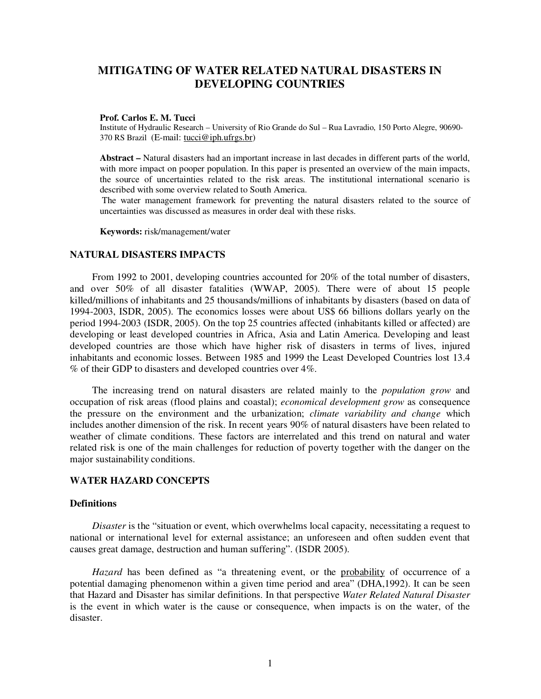# **MITIGATING OF WATER RELATED NATURAL DISASTERS IN DEVELOPING COUNTRIES**

#### **Prof. Carlos E. M. Tucci**

Institute of Hydraulic Research – University of Rio Grande do Sul – Rua Lavradio, 150 Porto Alegre, 90690- 370 RS Brazil (E-mail: tucci@iph.ufrgs.br)

**Abstract –** Natural disasters had an important increase in last decades in different parts of the world, with more impact on pooper population. In this paper is presented an overview of the main impacts, the source of uncertainties related to the risk areas. The institutional international scenario is described with some overview related to South America.

 The water management framework for preventing the natural disasters related to the source of uncertainties was discussed as measures in order deal with these risks.

**Keywords:** risk/management/water

#### **NATURAL DISASTERS IMPACTS**

From 1992 to 2001, developing countries accounted for 20% of the total number of disasters, and over 50% of all disaster fatalities (WWAP, 2005). There were of about 15 people killed/millions of inhabitants and 25 thousands/millions of inhabitants by disasters (based on data of 1994-2003, ISDR, 2005). The economics losses were about US\$ 66 billions dollars yearly on the period 1994-2003 (ISDR, 2005). On the top 25 countries affected (inhabitants killed or affected) are developing or least developed countries in Africa, Asia and Latin America. Developing and least developed countries are those which have higher risk of disasters in terms of lives, injured inhabitants and economic losses. Between 1985 and 1999 the Least Developed Countries lost 13.4 % of their GDP to disasters and developed countries over 4%.

The increasing trend on natural disasters are related mainly to the *population grow* and occupation of risk areas (flood plains and coastal); *economical development grow* as consequence the pressure on the environment and the urbanization; *climate variability and change* which includes another dimension of the risk. In recent years 90% of natural disasters have been related to weather of climate conditions. These factors are interrelated and this trend on natural and water related risk is one of the main challenges for reduction of poverty together with the danger on the major sustainability conditions.

#### **WATER HAZARD CONCEPTS**

#### **Definitions**

*Disaster* is the "situation or event, which overwhelms local capacity, necessitating a request to national or international level for external assistance; an unforeseen and often sudden event that causes great damage, destruction and human suffering". (ISDR 2005).

*Hazard* has been defined as "a threatening event, or the probability of occurrence of a potential damaging phenomenon within a given time period and area" (DHA,1992). It can be seen that Hazard and Disaster has similar definitions. In that perspective *Water Related Natural Disaster* is the event in which water is the cause or consequence, when impacts is on the water, of the disaster.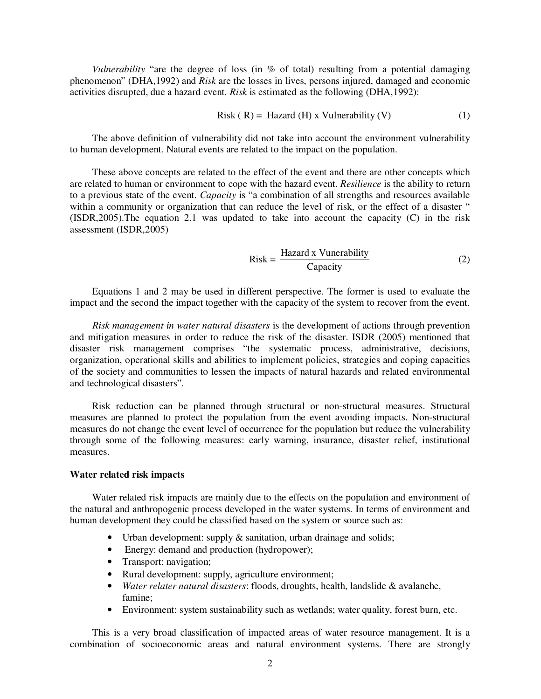*Vulnerability* "are the degree of loss (in % of total) resulting from a potential damaging phenomenon" (DHA,1992) and *Risk* are the losses in lives, persons injured, damaged and economic activities disrupted, due a hazard event. *Risk* is estimated as the following (DHA,1992):

$$
Risk ( R) = Hazard ( H) x Vulnerability ( V)
$$
 (1)

The above definition of vulnerability did not take into account the environment vulnerability to human development. Natural events are related to the impact on the population.

These above concepts are related to the effect of the event and there are other concepts which are related to human or environment to cope with the hazard event. *Resilience* is the ability to return to a previous state of the event. *Capacity* is "a combination of all strengths and resources available within a community or organization that can reduce the level of risk, or the effect of a disaster " (ISDR,2005).The equation 2.1 was updated to take into account the capacity (C) in the risk assessment (ISDR,2005)

$$
Risk = \frac{Hazard \times Vunerability}{Capacity}
$$
 (2)

Equations 1 and 2 may be used in different perspective. The former is used to evaluate the impact and the second the impact together with the capacity of the system to recover from the event.

*Risk management in water natural disasters* is the development of actions through prevention and mitigation measures in order to reduce the risk of the disaster. ISDR (2005) mentioned that disaster risk management comprises "the systematic process, administrative, decisions, organization, operational skills and abilities to implement policies, strategies and coping capacities of the society and communities to lessen the impacts of natural hazards and related environmental and technological disasters".

Risk reduction can be planned through structural or non-structural measures. Structural measures are planned to protect the population from the event avoiding impacts. Non-structural measures do not change the event level of occurrence for the population but reduce the vulnerability through some of the following measures: early warning, insurance, disaster relief, institutional measures.

#### **Water related risk impacts**

Water related risk impacts are mainly due to the effects on the population and environment of the natural and anthropogenic process developed in the water systems. In terms of environment and human development they could be classified based on the system or source such as:

- Urban development: supply & sanitation, urban drainage and solids;
- Energy: demand and production (hydropower);
- Transport: navigation;
- Rural development: supply, agriculture environment;
- *Water relater natural disasters*: floods, droughts, health, landslide & avalanche, famine;
- Environment: system sustainability such as wetlands; water quality, forest burn, etc.

This is a very broad classification of impacted areas of water resource management. It is a combination of socioeconomic areas and natural environment systems. There are strongly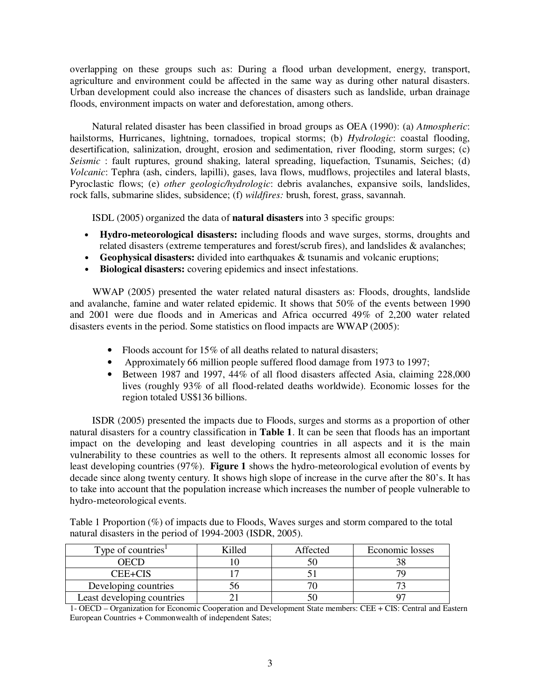overlapping on these groups such as: During a flood urban development, energy, transport, agriculture and environment could be affected in the same way as during other natural disasters. Urban development could also increase the chances of disasters such as landslide, urban drainage floods, environment impacts on water and deforestation, among others.

Natural related disaster has been classified in broad groups as OEA (1990): (a) *Atmospheric*: hailstorms, Hurricanes, lightning, tornadoes, tropical storms; (b) *Hydrologic*: coastal flooding, desertification, salinization, drought, erosion and sedimentation, river flooding, storm surges; (c) *Seismic* : fault ruptures, ground shaking, lateral spreading, liquefaction, Tsunamis, Seiches; (d) *Volcanic*: Tephra (ash, cinders, lapilli), gases, lava flows, mudflows, projectiles and lateral blasts, Pyroclastic flows; (e) *other geologic/hydrologic*: debris avalanches, expansive soils, landslides, rock falls, submarine slides, subsidence; (f) *wildfires:* brush, forest, grass, savannah.

ISDL (2005) organized the data of **natural disasters** into 3 specific groups:

- **Hydro-meteorological disasters:** including floods and wave surges, storms, droughts and related disasters (extreme temperatures and forest/scrub fires), and landslides & avalanches;
- **Geophysical disasters:** divided into earthquakes & tsunamis and volcanic eruptions;
- **Biological disasters:** covering epidemics and insect infestations.

WWAP (2005) presented the water related natural disasters as: Floods, droughts, landslide and avalanche, famine and water related epidemic. It shows that 50% of the events between 1990 and 2001 were due floods and in Americas and Africa occurred 49% of 2,200 water related disasters events in the period. Some statistics on flood impacts are WWAP (2005):

- Floods account for 15% of all deaths related to natural disasters;
- Approximately 66 million people suffered flood damage from 1973 to 1997;
- Between 1987 and 1997, 44% of all flood disasters affected Asia, claiming 228,000 lives (roughly 93% of all flood-related deaths worldwide). Economic losses for the region totaled US\$136 billions.

ISDR (2005) presented the impacts due to Floods, surges and storms as a proportion of other natural disasters for a country classification in **Table 1**. It can be seen that floods has an important impact on the developing and least developing countries in all aspects and it is the main vulnerability to these countries as well to the others. It represents almost all economic losses for least developing countries (97%). **Figure 1** shows the hydro-meteorological evolution of events by decade since along twenty century. It shows high slope of increase in the curve after the 80's. It has to take into account that the population increase which increases the number of people vulnerable to hydro-meteorological events.

Table 1 Proportion (%) of impacts due to Floods, Waves surges and storm compared to the total natural disasters in the period of 1994-2003 (ISDR, 2005).

| Type of countries <sup>1</sup> | `illed | Affected | Economic losses |
|--------------------------------|--------|----------|-----------------|
|                                |        |          |                 |
| CEE+CIS                        |        |          |                 |
| Developing countries           |        |          |                 |
| Least developing countries     |        |          |                 |

1- OECD – Organization for Economic Cooperation and Development State members: CEE + CIS: Central and Eastern European Countries + Commonwealth of independent Sates;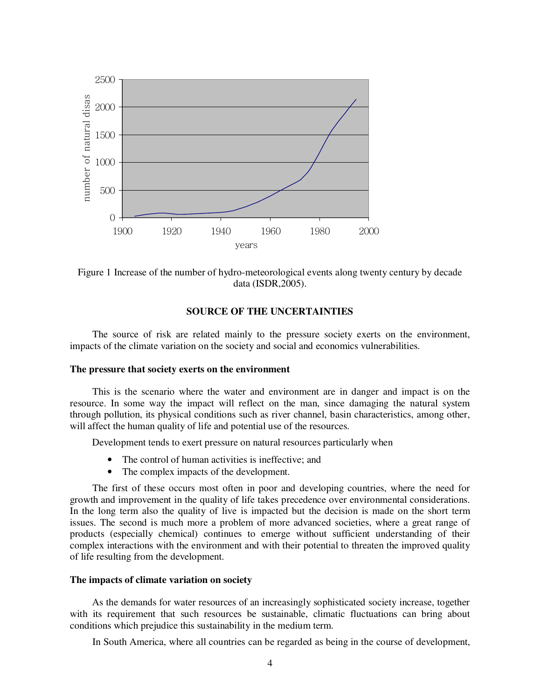

Figure 1 Increase of the number of hydro-meteorological events along twenty century by decade data (ISDR,2005).

### **SOURCE OF THE UNCERTAINTIES**

The source of risk are related mainly to the pressure society exerts on the environment, impacts of the climate variation on the society and social and economics vulnerabilities.

#### **The pressure that society exerts on the environment**

This is the scenario where the water and environment are in danger and impact is on the resource. In some way the impact will reflect on the man, since damaging the natural system through pollution, its physical conditions such as river channel, basin characteristics, among other, will affect the human quality of life and potential use of the resources.

Development tends to exert pressure on natural resources particularly when

- The control of human activities is ineffective; and
- The complex impacts of the development.

The first of these occurs most often in poor and developing countries, where the need for growth and improvement in the quality of life takes precedence over environmental considerations. In the long term also the quality of live is impacted but the decision is made on the short term issues. The second is much more a problem of more advanced societies, where a great range of products (especially chemical) continues to emerge without sufficient understanding of their complex interactions with the environment and with their potential to threaten the improved quality of life resulting from the development.

#### **The impacts of climate variation on society**

As the demands for water resources of an increasingly sophisticated society increase, together with its requirement that such resources be sustainable, climatic fluctuations can bring about conditions which prejudice this sustainability in the medium term.

In South America, where all countries can be regarded as being in the course of development,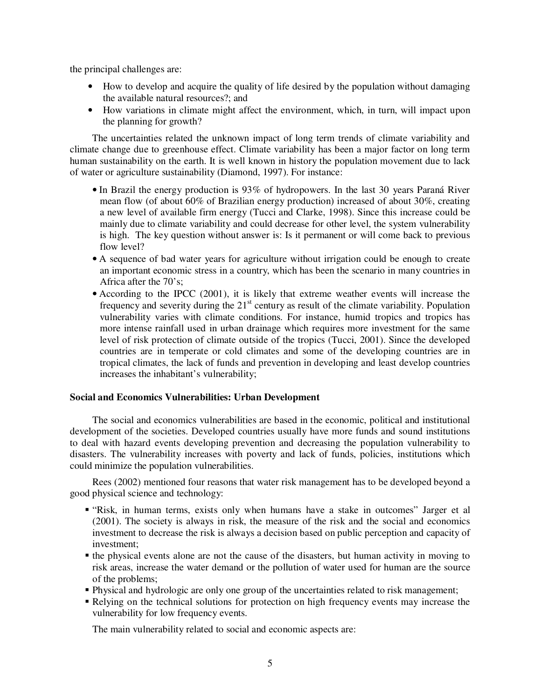the principal challenges are:

- How to develop and acquire the quality of life desired by the population without damaging the available natural resources?; and
- How variations in climate might affect the environment, which, in turn, will impact upon the planning for growth?

The uncertainties related the unknown impact of long term trends of climate variability and climate change due to greenhouse effect. Climate variability has been a major factor on long term human sustainability on the earth. It is well known in history the population movement due to lack of water or agriculture sustainability (Diamond, 1997). For instance:

- In Brazil the energy production is 93% of hydropowers. In the last 30 years Paraná River mean flow (of about 60% of Brazilian energy production) increased of about 30%, creating a new level of available firm energy (Tucci and Clarke, 1998). Since this increase could be mainly due to climate variability and could decrease for other level, the system vulnerability is high. The key question without answer is: Is it permanent or will come back to previous flow level?
- A sequence of bad water years for agriculture without irrigation could be enough to create an important economic stress in a country, which has been the scenario in many countries in Africa after the 70's;
- According to the IPCC (2001), it is likely that extreme weather events will increase the frequency and severity during the  $21<sup>st</sup>$  century as result of the climate variability. Population vulnerability varies with climate conditions. For instance, humid tropics and tropics has more intense rainfall used in urban drainage which requires more investment for the same level of risk protection of climate outside of the tropics (Tucci, 2001). Since the developed countries are in temperate or cold climates and some of the developing countries are in tropical climates, the lack of funds and prevention in developing and least develop countries increases the inhabitant's vulnerability;

## **Social and Economics Vulnerabilities: Urban Development**

The social and economics vulnerabilities are based in the economic, political and institutional development of the societies. Developed countries usually have more funds and sound institutions to deal with hazard events developing prevention and decreasing the population vulnerability to disasters. The vulnerability increases with poverty and lack of funds, policies, institutions which could minimize the population vulnerabilities.

Rees (2002) mentioned four reasons that water risk management has to be developed beyond a good physical science and technology:

- " "Risk, in human terms, exists only when humans have a stake in outcomes" Jarger et al (2001). The society is always in risk, the measure of the risk and the social and economics investment to decrease the risk is always a decision based on public perception and capacity of investment;
- the physical events alone are not the cause of the disasters, but human activity in moving to risk areas, increase the water demand or the pollution of water used for human are the source of the problems;
- Physical and hydrologic are only one group of the uncertainties related to risk management;
- Relying on the technical solutions for protection on high frequency events may increase the vulnerability for low frequency events.

The main vulnerability related to social and economic aspects are: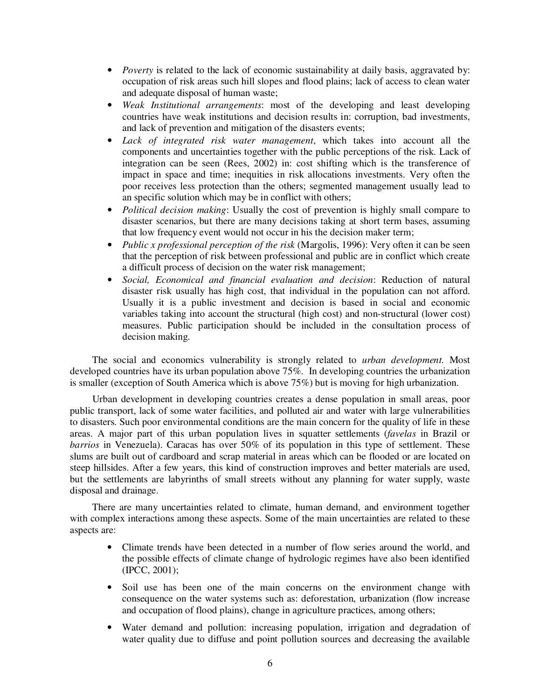- *Poverty* is related to the lack of economic sustainability at daily basis, aggravated by: occupation of risk areas such hill slopes and flood plains; lack of access to clean water and adequate disposal of human waste;
- *Weak Institutional arrangements*: most of the developing and least developing countries have weak institutions and decision results in: corruption, bad investments, and lack of prevention and mitigation of the disasters events;
- Lack of integrated risk water management, which takes into account all the components and uncertainties together with the public perceptions of the risk. Lack of integration can be seen (Rees, 2002) in: cost shifting which is the transference of impact in space and time; inequities in risk allocations investments. Very often the poor receives less protection than the others; segmented management usually lead to an specific solution which may be in conflict with others;
- *Political decision making*: Usually the cost of prevention is highly small compare to disaster scenarios, but there are many decisions taking at short term bases, assuming that low frequency event would not occur in his the decision maker term;
- *Public x professional perception of the risk* (Margolis, 1996): Very often it can be seen that the perception of risk between professional and public are in conflict which create a difficult process of decision on the water risk management;
- *Social, Economical and financial evaluation and decision*: Reduction of natural disaster risk usually has high cost, that individual in the population can not afford. Usually it is a public investment and decision is based in social and economic variables taking into account the structural (high cost) and non-structural (lower cost) measures. Public participation should be included in the consultation process of decision making.

The social and economics vulnerability is strongly related to *urban development.* Most developed countries have its urban population above 75%. In developing countries the urbanization is smaller (exception of South America which is above 75%) but is moving for high urbanization.

 Urban development in developing countries creates a dense population in small areas, poor public transport, lack of some water facilities, and polluted air and water with large vulnerabilities to disasters. Such poor environmental conditions are the main concern for the quality of life in these areas. A major part of this urban population lives in squatter settlements (*favelas* in Brazil or *barrios* in Venezuela). Caracas has over 50% of its population in this type of settlement. These slums are built out of cardboard and scrap material in areas which can be flooded or are located on steep hillsides. After a few years, this kind of construction improves and better materials are used, but the settlements are labyrinths of small streets without any planning for water supply, waste disposal and drainage.

There are many uncertainties related to climate, human demand, and environment together with complex interactions among these aspects. Some of the main uncertainties are related to these aspects are:

- Climate trends have been detected in a number of flow series around the world, and the possible effects of climate change of hydrologic regimes have also been identified (IPCC, 2001);
- Soil use has been one of the main concerns on the environment change with consequence on the water systems such as: deforestation, urbanization (flow increase and occupation of flood plains), change in agriculture practices, among others;
- Water demand and pollution: increasing population, irrigation and degradation of water quality due to diffuse and point pollution sources and decreasing the available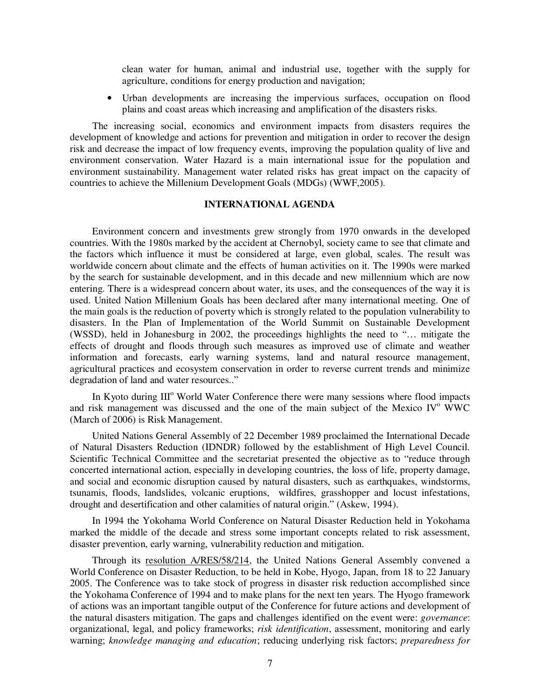clean water for human, animal and industrial use, together with the supply for agriculture, conditions for energy production and navigation;

• Urban developments are increasing the impervious surfaces, occupation on flood plains and coast areas which increasing and amplification of the disasters risks.

The increasing social, economics and environment impacts from disasters requires the development of knowledge and actions for prevention and mitigation in order to recover the design risk and decrease the impact of low frequency events, improving the population quality of live and environment conservation. Water Hazard is a main international issue for the population and environment sustainability. Management water related risks has great impact on the capacity of countries to achieve the Millenium Development Goals (MDGs) (WWF,2005).

## **INTERNATIONAL AGENDA**

Environment concern and investments grew strongly from 1970 onwards in the developed countries. With the 1980s marked by the accident at Chernobyl, society came to see that climate and the factors which influence it must be considered at large, even global, scales. The result was worldwide concern about climate and the effects of human activities on it. The 1990s were marked by the search for sustainable development, and in this decade and new millennium which are now entering. There is a widespread concern about water, its uses, and the consequences of the way it is used. United Nation Millenium Goals has been declared after many international meeting. One of the main goals is the reduction of poverty which is strongly related to the population vulnerability to disasters. In the Plan of Implementation of the World Summit on Sustainable Development (WSSD), held in Johanesburg in 2002, the proceedings highlights the need to "… mitigate the effects of drought and floods through such measures as improved use of climate and weather information and forecasts, early warning systems, land and natural resource management, agricultural practices and ecosystem conservation in order to reverse current trends and minimize degradation of land and water resources.."

In Kyoto during III<sup>o</sup> World Water Conference there were many sessions where flood impacts and risk management was discussed and the one of the main subject of the Mexico IV° WWC (March of 2006) is Risk Management.

United Nations General Assembly of 22 December 1989 proclaimed the International Decade of Natural Disasters Reduction (IDNDR) followed by the establishment of High Level Council. Scientific Technical Committee and the secretariat presented the objective as to "reduce through concerted international action, especially in developing countries, the loss of life, property damage, and social and economic disruption caused by natural disasters, such as earthquakes, windstorms, tsunamis, floods, landslides, volcanic eruptions, wildfires, grasshopper and locust infestations, drought and desertification and other calamities of natural origin." (Askew, 1994).

In 1994 the Yokohama World Conference on Natural Disaster Reduction held in Yokohama marked the middle of the decade and stress some important concepts related to risk assessment, disaster prevention, early warning, vulnerability reduction and mitigation.

Through its resolution A/RES/58/214, the United Nations General Assembly convened a World Conference on Disaster Reduction, to be held in Kobe, Hyogo, Japan, from 18 to 22 January 2005. The Conference was to take stock of progress in disaster risk reduction accomplished since the Yokohama Conference of 1994 and to make plans for the next ten years. The Hyogo framework of actions was an important tangible output of the Conference for future actions and development of the natural disasters mitigation. The gaps and challenges identified on the event were: *governance*: organizational, legal, and policy frameworks; *risk identification*, assessment, monitoring and early warning; *knowledge managing and education*; reducing underlying risk factors; *preparedness for*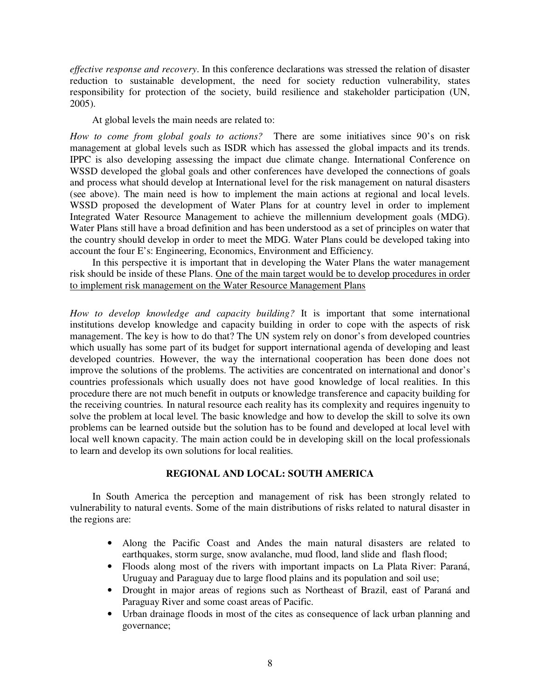*effective response and recovery*. In this conference declarations was stressed the relation of disaster reduction to sustainable development, the need for society reduction vulnerability, states responsibility for protection of the society, build resilience and stakeholder participation (UN, 2005).

At global levels the main needs are related to:

*How to come from global goals to actions?* There are some initiatives since 90's on risk management at global levels such as ISDR which has assessed the global impacts and its trends. IPPC is also developing assessing the impact due climate change. International Conference on WSSD developed the global goals and other conferences have developed the connections of goals and process what should develop at International level for the risk management on natural disasters (see above). The main need is how to implement the main actions at regional and local levels. WSSD proposed the development of Water Plans for at country level in order to implement Integrated Water Resource Management to achieve the millennium development goals (MDG). Water Plans still have a broad definition and has been understood as a set of principles on water that the country should develop in order to meet the MDG. Water Plans could be developed taking into account the four E's: Engineering, Economics, Environment and Efficiency.

In this perspective it is important that in developing the Water Plans the water management risk should be inside of these Plans. One of the main target would be to develop procedures in order to implement risk management on the Water Resource Management Plans

*How to develop knowledge and capacity building?* It is important that some international institutions develop knowledge and capacity building in order to cope with the aspects of risk management. The key is how to do that? The UN system rely on donor's from developed countries which usually has some part of its budget for support international agenda of developing and least developed countries. However, the way the international cooperation has been done does not improve the solutions of the problems. The activities are concentrated on international and donor's countries professionals which usually does not have good knowledge of local realities. In this procedure there are not much benefit in outputs or knowledge transference and capacity building for the receiving countries. In natural resource each reality has its complexity and requires ingenuity to solve the problem at local level. The basic knowledge and how to develop the skill to solve its own problems can be learned outside but the solution has to be found and developed at local level with local well known capacity. The main action could be in developing skill on the local professionals to learn and develop its own solutions for local realities.

## **REGIONAL AND LOCAL: SOUTH AMERICA**

In South America the perception and management of risk has been strongly related to vulnerability to natural events. Some of the main distributions of risks related to natural disaster in the regions are:

- Along the Pacific Coast and Andes the main natural disasters are related to earthquakes, storm surge, snow avalanche, mud flood, land slide and flash flood;
- Floods along most of the rivers with important impacts on La Plata River: Paraná, Uruguay and Paraguay due to large flood plains and its population and soil use;
- Drought in major areas of regions such as Northeast of Brazil, east of Paraná and Paraguay River and some coast areas of Pacific.
- Urban drainage floods in most of the cites as consequence of lack urban planning and governance;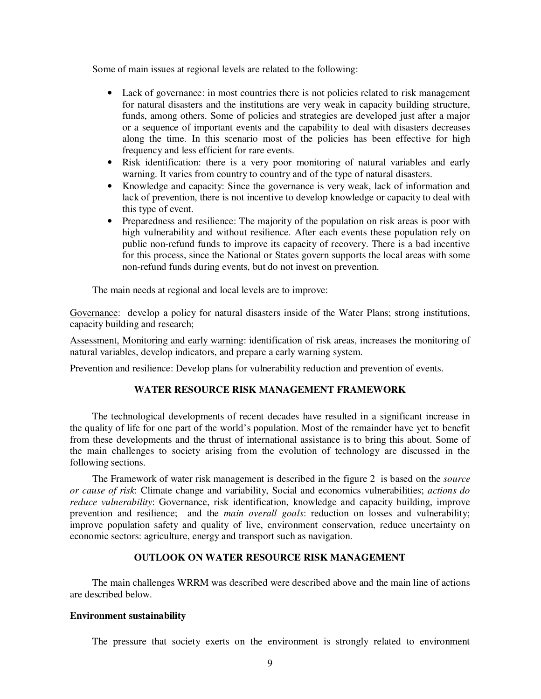Some of main issues at regional levels are related to the following:

- Lack of governance: in most countries there is not policies related to risk management for natural disasters and the institutions are very weak in capacity building structure, funds, among others. Some of policies and strategies are developed just after a major or a sequence of important events and the capability to deal with disasters decreases along the time. In this scenario most of the policies has been effective for high frequency and less efficient for rare events.
- Risk identification: there is a very poor monitoring of natural variables and early warning. It varies from country to country and of the type of natural disasters.
- Knowledge and capacity: Since the governance is very weak, lack of information and lack of prevention, there is not incentive to develop knowledge or capacity to deal with this type of event.
- Preparedness and resilience: The majority of the population on risk areas is poor with high vulnerability and without resilience. After each events these population rely on public non-refund funds to improve its capacity of recovery. There is a bad incentive for this process, since the National or States govern supports the local areas with some non-refund funds during events, but do not invest on prevention.

The main needs at regional and local levels are to improve:

Governance: develop a policy for natural disasters inside of the Water Plans; strong institutions, capacity building and research;

Assessment, Monitoring and early warning: identification of risk areas, increases the monitoring of natural variables, develop indicators, and prepare a early warning system.

Prevention and resilience: Develop plans for vulnerability reduction and prevention of events.

### **WATER RESOURCE RISK MANAGEMENT FRAMEWORK**

The technological developments of recent decades have resulted in a significant increase in the quality of life for one part of the world's population. Most of the remainder have yet to benefit from these developments and the thrust of international assistance is to bring this about. Some of the main challenges to society arising from the evolution of technology are discussed in the following sections.

The Framework of water risk management is described in the figure 2 is based on the *source or cause of risk*: Climate change and variability, Social and economics vulnerabilities; *actions do reduce vulnerability*: Governance, risk identification, knowledge and capacity building, improve prevention and resilience; and the *main overall goals*: reduction on losses and vulnerability; improve population safety and quality of live, environment conservation, reduce uncertainty on economic sectors: agriculture, energy and transport such as navigation.

#### **OUTLOOK ON WATER RESOURCE RISK MANAGEMENT**

The main challenges WRRM was described were described above and the main line of actions are described below.

### **Environment sustainability**

The pressure that society exerts on the environment is strongly related to environment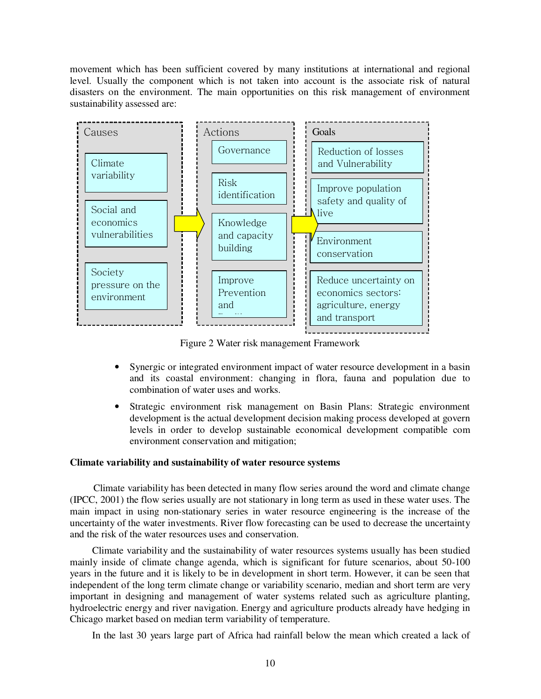movement which has been sufficient covered by many institutions at international and regional level. Usually the component which is not taken into account is the associate risk of natural disasters on the environment. The main opportunities on this risk management of environment sustainability assessed are:



Figure 2 Water risk management Framework

- Synergic or integrated environment impact of water resource development in a basin and its coastal environment: changing in flora, fauna and population due to combination of water uses and works.
- Strategic environment risk management on Basin Plans: Strategic environment development is the actual development decision making process developed at govern levels in order to develop sustainable economical development compatible com environment conservation and mitigation;

## **Climate variability and sustainability of water resource systems**

Climate variability has been detected in many flow series around the word and climate change (IPCC, 2001) the flow series usually are not stationary in long term as used in these water uses. The main impact in using non-stationary series in water resource engineering is the increase of the uncertainty of the water investments. River flow forecasting can be used to decrease the uncertainty and the risk of the water resources uses and conservation.

Climate variability and the sustainability of water resources systems usually has been studied mainly inside of climate change agenda, which is significant for future scenarios, about 50-100 years in the future and it is likely to be in development in short term. However, it can be seen that independent of the long term climate change or variability scenario, median and short term are very important in designing and management of water systems related such as agriculture planting, hydroelectric energy and river navigation. Energy and agriculture products already have hedging in Chicago market based on median term variability of temperature.

In the last 30 years large part of Africa had rainfall below the mean which created a lack of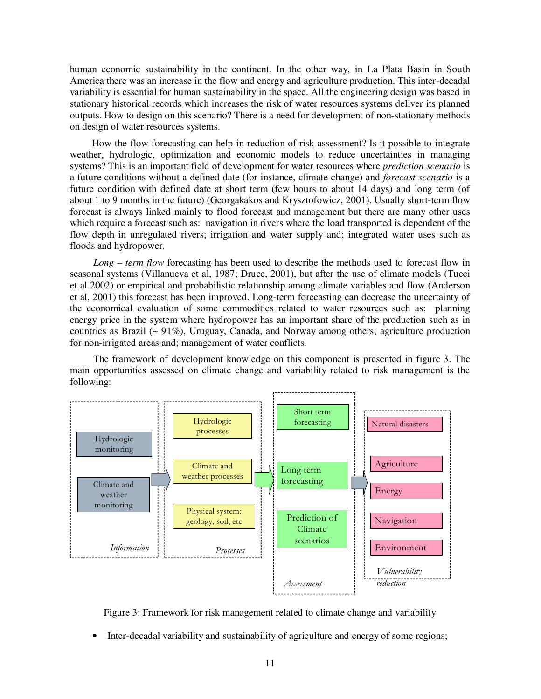human economic sustainability in the continent. In the other way, in La Plata Basin in South America there was an increase in the flow and energy and agriculture production. This inter-decadal variability is essential for human sustainability in the space. All the engineering design was based in stationary historical records which increases the risk of water resources systems deliver its planned outputs. How to design on this scenario? There is a need for development of non-stationary methods on design of water resources systems.

How the flow forecasting can help in reduction of risk assessment? Is it possible to integrate weather, hydrologic, optimization and economic models to reduce uncertainties in managing systems? This is an important field of development for water resources where *prediction scenario* is a future conditions without a defined date (for instance, climate change) and *forecast scenario* is a future condition with defined date at short term (few hours to about 14 days) and long term (of about 1 to 9 months in the future) (Georgakakos and Krysztofowicz, 2001). Usually short-term flow forecast is always linked mainly to flood forecast and management but there are many other uses which require a forecast such as: navigation in rivers where the load transported is dependent of the flow depth in unregulated rivers; irrigation and water supply and; integrated water uses such as floods and hydropower.

*Long – term flow* forecasting has been used to describe the methods used to forecast flow in seasonal systems (Villanueva et al, 1987; Druce, 2001), but after the use of climate models (Tucci et al 2002) or empirical and probabilistic relationship among climate variables and flow (Anderson et al, 2001) this forecast has been improved. Long-term forecasting can decrease the uncertainty of the economical evaluation of some commodities related to water resources such as: planning energy price in the system where hydropower has an important share of the production such as in countries as Brazil  $($   $\sim$  91%), Uruguay, Canada, and Norway among others; agriculture production for non-irrigated areas and; management of water conflicts.

The framework of development knowledge on this component is presented in figure 3. The main opportunities assessed on climate change and variability related to risk management is the following:



Figure 3: Framework for risk management related to climate change and variability

• Inter-decadal variability and sustainability of agriculture and energy of some regions;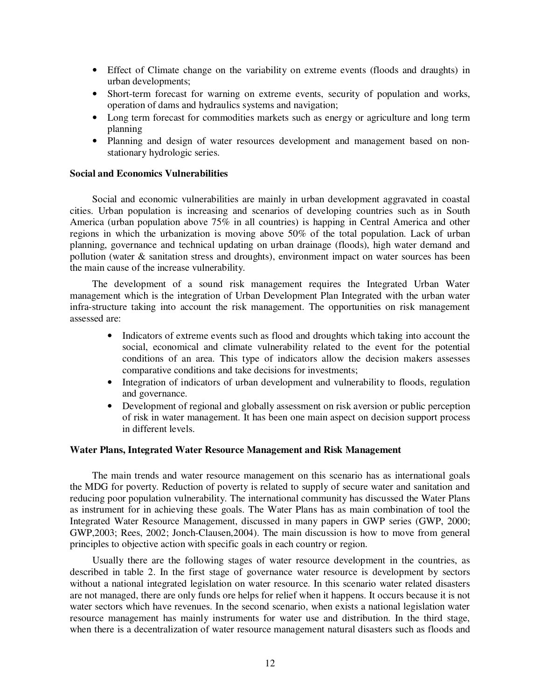- Effect of Climate change on the variability on extreme events (floods and draughts) in urban developments;
- Short-term forecast for warning on extreme events, security of population and works, operation of dams and hydraulics systems and navigation;
- Long term forecast for commodities markets such as energy or agriculture and long term planning
- Planning and design of water resources development and management based on nonstationary hydrologic series.

#### **Social and Economics Vulnerabilities**

Social and economic vulnerabilities are mainly in urban development aggravated in coastal cities. Urban population is increasing and scenarios of developing countries such as in South America (urban population above 75% in all countries) is happing in Central America and other regions in which the urbanization is moving above 50% of the total population. Lack of urban planning, governance and technical updating on urban drainage (floods), high water demand and pollution (water & sanitation stress and droughts), environment impact on water sources has been the main cause of the increase vulnerability.

The development of a sound risk management requires the Integrated Urban Water management which is the integration of Urban Development Plan Integrated with the urban water infra-structure taking into account the risk management. The opportunities on risk management assessed are:

- Indicators of extreme events such as flood and droughts which taking into account the social, economical and climate vulnerability related to the event for the potential conditions of an area. This type of indicators allow the decision makers assesses comparative conditions and take decisions for investments;
- Integration of indicators of urban development and vulnerability to floods, regulation and governance.
- Development of regional and globally assessment on risk aversion or public perception of risk in water management. It has been one main aspect on decision support process in different levels.

#### **Water Plans, Integrated Water Resource Management and Risk Management**

The main trends and water resource management on this scenario has as international goals the MDG for poverty. Reduction of poverty is related to supply of secure water and sanitation and reducing poor population vulnerability. The international community has discussed the Water Plans as instrument for in achieving these goals. The Water Plans has as main combination of tool the Integrated Water Resource Management, discussed in many papers in GWP series (GWP, 2000; GWP,2003; Rees, 2002; Jonch-Clausen,2004). The main discussion is how to move from general principles to objective action with specific goals in each country or region.

Usually there are the following stages of water resource development in the countries, as described in table 2. In the first stage of governance water resource is development by sectors without a national integrated legislation on water resource. In this scenario water related disasters are not managed, there are only funds ore helps for relief when it happens. It occurs because it is not water sectors which have revenues. In the second scenario, when exists a national legislation water resource management has mainly instruments for water use and distribution. In the third stage, when there is a decentralization of water resource management natural disasters such as floods and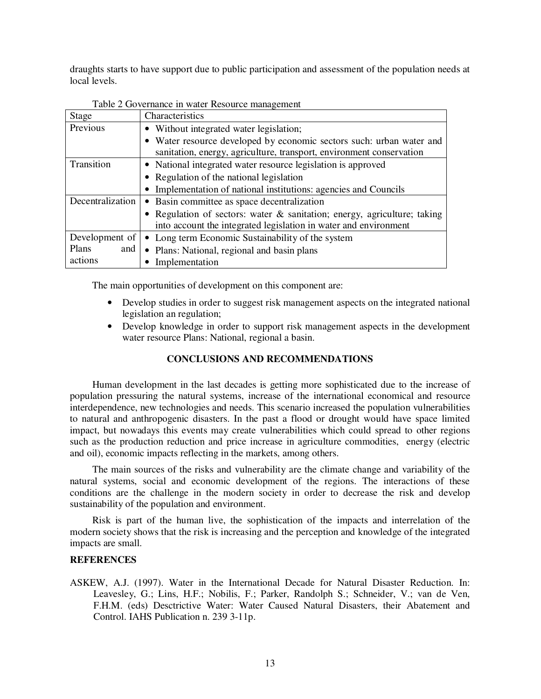draughts starts to have support due to public participation and assessment of the population needs at local levels.

| Stage            | Characteristics                                                          |  |  |
|------------------|--------------------------------------------------------------------------|--|--|
| Previous         | • Without integrated water legislation;                                  |  |  |
|                  | • Water resource developed by economic sectors such: urban water and     |  |  |
|                  | sanitation, energy, agriculture, transport, environment conservation     |  |  |
| Transition       | • National integrated water resource legislation is approved             |  |  |
|                  | • Regulation of the national legislation                                 |  |  |
|                  | • Implementation of national institutions: agencies and Councils         |  |  |
| Decentralization | • Basin committee as space decentralization                              |  |  |
|                  | • Regulation of sectors: water & sanitation; energy, agriculture; taking |  |  |
|                  | into account the integrated legislation in water and environment         |  |  |
| Development of   | • Long term Economic Sustainability of the system                        |  |  |
| Plans<br>and     | • Plans: National, regional and basin plans                              |  |  |
| actions          | Implementation                                                           |  |  |

Table 2 Governance in water Resource management

The main opportunities of development on this component are:

- Develop studies in order to suggest risk management aspects on the integrated national legislation an regulation;
- Develop knowledge in order to support risk management aspects in the development water resource Plans: National, regional a basin.

# **CONCLUSIONS AND RECOMMENDATIONS**

Human development in the last decades is getting more sophisticated due to the increase of population pressuring the natural systems, increase of the international economical and resource interdependence, new technologies and needs. This scenario increased the population vulnerabilities to natural and anthropogenic disasters. In the past a flood or drought would have space limited impact, but nowadays this events may create vulnerabilities which could spread to other regions such as the production reduction and price increase in agriculture commodities, energy (electric and oil), economic impacts reflecting in the markets, among others.

The main sources of the risks and vulnerability are the climate change and variability of the natural systems, social and economic development of the regions. The interactions of these conditions are the challenge in the modern society in order to decrease the risk and develop sustainability of the population and environment.

Risk is part of the human live, the sophistication of the impacts and interrelation of the modern society shows that the risk is increasing and the perception and knowledge of the integrated impacts are small.

## **REFERENCES**

ASKEW, A.J. (1997). Water in the International Decade for Natural Disaster Reduction. In: Leavesley, G.; Lins, H.F.; Nobilis, F.; Parker, Randolph S.; Schneider, V.; van de Ven, F.H.M. (eds) Desctrictive Water: Water Caused Natural Disasters, their Abatement and Control. IAHS Publication n. 239 3-11p.